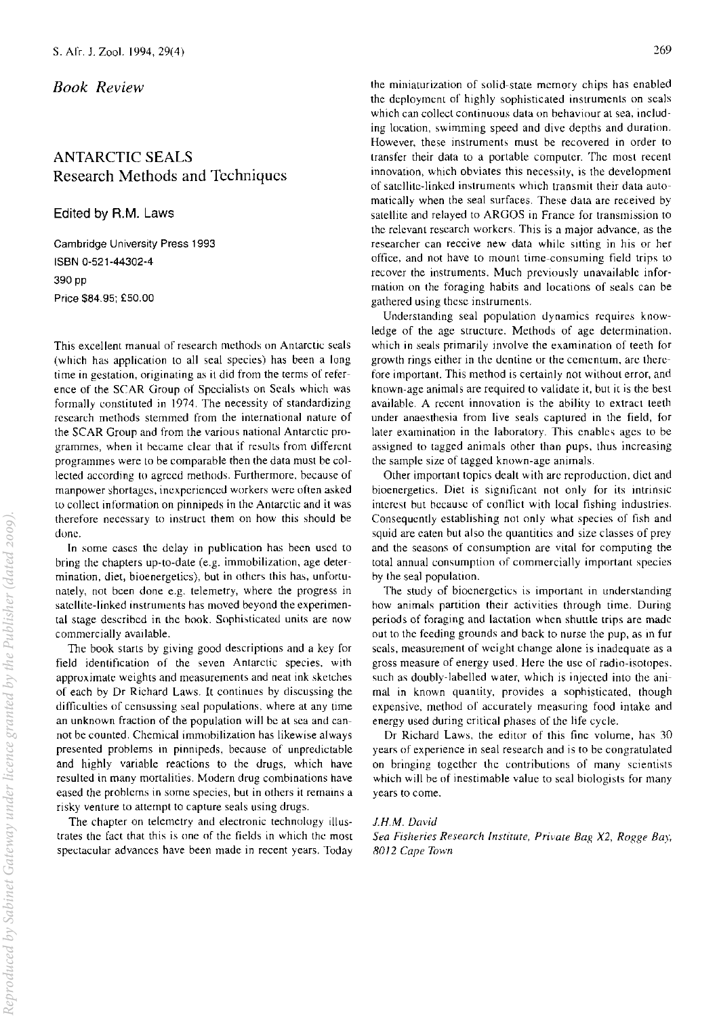## *Book Review*

## ANTARCTIC SEALS Research Methods and Techniques

Edited by A.M. Laws

Cambridge University Press 1993 ISBN 0-521-44302-4 390 pp Price \$84.95; £50.00

This excellent manual of research methods on Antarctic seals (which has application to all seal species) has been a long time in gestation, originating as it did from the terms of reference of the SCAR Group of Specialists on Seals which was formally constituted in 1974. The necessity of standardizing research methods stemmed from the international nature of the SCAR Group and from the various national Antarctic programmes, when it hecame clear that if results from different programmes were to be comparable then the data must be collected according to agreed methods. Furthermore, because of manpower shortages, inexperienced workers were often asked to collect information on pinnipeds in the Antarctic and it was therefore necessary to instruct them on how this should be done.

**In** some cases the delay in publication has heen used to bring the chapters up-to-date (e.g. immobilization, age determination, diet, bioenergetics), but in others this has, unfortunately, not been done e.g. telemetry, where the progress in satellite-linked instruments has moved beyond the experimental stage described in the book. Sophisticated units are now commercially available.

The book starts by giving good descriptions and a key for field identification of the seven Antarctic species. with approximate weights and measurements and neat ink sketches of each by Dr Richard Laws. It continues by discussing the difficulties of censussing seal populations. where at any time an unknown fraction of the population will be at sea and cannot be counted. Chemical immohilization has likewise always presented prohlems in pinnipeds, because of unpredictahle and highly variable reactions to the drugs, which have resulted in many mortalities. Modern drug combinations have eased the prohlems in some species, but in others it remains a risky venture to attempt to capture seals using drugs.

The chapter on telemetry and electronic technology illustrates the fact that this is one of the fields in which the most spectacular advances have been made in recent years. Today the miniaturization of solid-state memory chips has enabled the deployment of highly sophisticated instruments on seals which can collect continuous data on hehaviour at sea, including location, swimming speed and dive depths and duration. However, these instruments must be recovered in order to transfer their data to a portable computer. The most recent innovation, which obviates this necessity, is the development of satellite-linked instruments which transmit their data automatically when the seal surfaces. These data are received by satellite and relayed to ARGOS in France for transmission to the relevant research workers. This is a major advance, as the researcher can receive new data while sitting in his or her office, and not have to mount time-consuming field trips to recover the instruments. Much previously unavailable information on the foraging habits and locations of seals can be gathered using these instruments.

Understanding seal population dynamics requires knowledge of the age structure. Methods of age determination, which in seals primarily involve the examination of teeth for growth rings either in the dentine or the cementum, are therefore important. This method is certainly not without error, and known-age animals are required to validate it, but it is the best available. A recent innovation is the ability to extract teeth under anaesthesia from live seals captured in the field, for later examination in the laboratory. This enables ages to be assigned to tagged animals other than pups, thus increasing the sample size of tagged known-age animals.

Other important topics dealt with are reproduction, diet and bioenergetics. Diet is significant not only for its intrinsic interest hut hecause of contlict with local fishing industries. Consequently establishing not only what species of fish and squid are eaten but also the quantities and size classes of prey and the seasons of consumption are vital for computing the total annual consumption of commercially important species hy the seal population.

The study of bioenergetics is important in understanding how animals partition their activities through time. During periods of foraging and lactation when shuttle trips are made out to the feeding grounds and back to nurse the pup, as in fur seals, measurement of weight change alone is inadequate as a gross measure of energy used. Here the use of radio-isotopes. such as doubly-labelled water, which is injected into the animal in known quantity, provides a sophisticated, though expensive, method of accurately measuring food intake and energy used during critical phases of the life cycle.

Dr Richard Laws, the editor of this fine volume, has 30 years of experience in seal research and is to be congratulated on bringing together the contributions of many scientists which will he of inestimable value to seal biologists for many years to come.

## *J.H.M. David*

*Sea Fisheries Research Institute, Private Bap, X2, Rogge Bay,*  8012 *Cape Town*